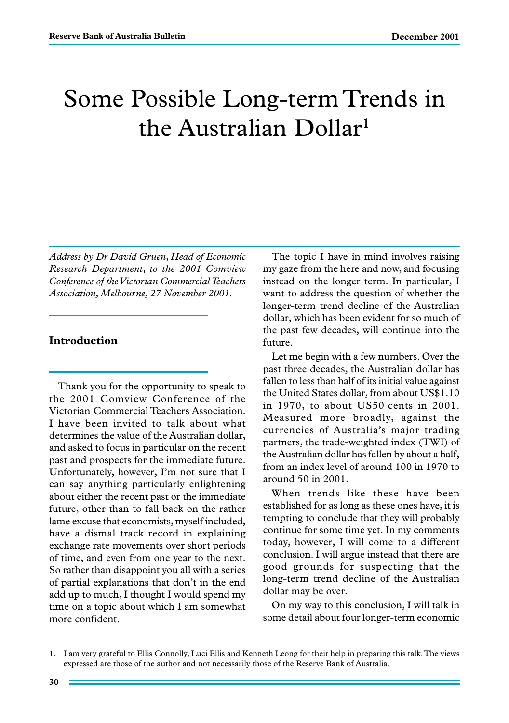# Some Possible Long-term Trends in the Australian Dollar<sup>1</sup>

*Address by Dr David Gruen, Head of Economic Research Department, to the 2001 Comview Conference of the Victorian Commercial Teachers Association, Melbourne, 27 November 2001.*

## **Introduction**

Thank you for the opportunity to speak to the 2001 Comview Conference of the Victorian Commercial Teachers Association. I have been invited to talk about what determines the value of the Australian dollar, and asked to focus in particular on the recent past and prospects for the immediate future. Unfortunately, however, I'm not sure that I can say anything particularly enlightening about either the recent past or the immediate future, other than to fall back on the rather lame excuse that economists, myself included, have a dismal track record in explaining exchange rate movements over short periods of time, and even from one year to the next. So rather than disappoint you all with a series of partial explanations that don't in the end add up to much, I thought I would spend my time on a topic about which I am somewhat more confident.

The topic I have in mind involves raising my gaze from the here and now, and focusing instead on the longer term. In particular, I want to address the question of whether the longer-term trend decline of the Australian dollar, which has been evident for so much of the past few decades, will continue into the future.

Let me begin with a few numbers. Over the past three decades, the Australian dollar has fallen to less than half of its initial value against the United States dollar, from about US\$1.10 in 1970, to about US50 cents in 2001. Measured more broadly, against the currencies of Australia's major trading partners, the trade-weighted index (TWI) of the Australian dollar has fallen by about a half, from an index level of around 100 in 1970 to around 50 in 2001.

When trends like these have been established for as long as these ones have, it is tempting to conclude that they will probably continue for some time yet. In my comments today, however, I will come to a different conclusion. I will argue instead that there are good grounds for suspecting that the long-term trend decline of the Australian dollar may be over.

On my way to this conclusion, I will talk in some detail about four longer-term economic

<sup>1.</sup> I am very grateful to Ellis Connolly, Luci Ellis and Kenneth Leong for their help in preparing this talk. The views expressed are those of the author and not necessarily those of the Reserve Bank of Australia.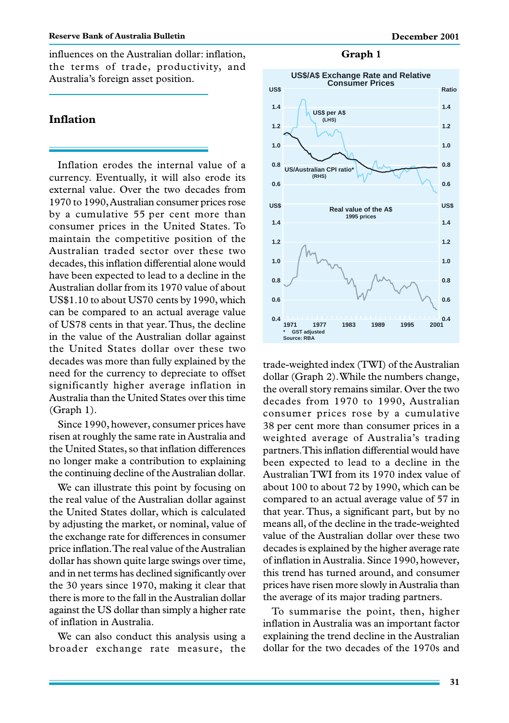influences on the Australian dollar: inflation, the terms of trade, productivity, and Australia's foreign asset position.

## **Inflation**

Inflation erodes the internal value of a currency. Eventually, it will also erode its external value. Over the two decades from 1970 to 1990, Australian consumer prices rose by a cumulative 55 per cent more than consumer prices in the United States. To maintain the competitive position of the Australian traded sector over these two decades, this inflation differential alone would have been expected to lead to a decline in the Australian dollar from its 1970 value of about US\$1.10 to about US70 cents by 1990, which can be compared to an actual average value of US78 cents in that year. Thus, the decline in the value of the Australian dollar against the United States dollar over these two decades was more than fully explained by the need for the currency to depreciate to offset significantly higher average inflation in Australia than the United States over this time (Graph 1).

Since 1990, however, consumer prices have risen at roughly the same rate in Australia and the United States, so that inflation differences no longer make a contribution to explaining the continuing decline of the Australian dollar.

We can illustrate this point by focusing on the real value of the Australian dollar against the United States dollar, which is calculated by adjusting the market, or nominal, value of the exchange rate for differences in consumer price inflation. The real value of the Australian dollar has shown quite large swings over time, and in net terms has declined significantly over the 30 years since 1970, making it clear that there is more to the fall in the Australian dollar against the US dollar than simply a higher rate of inflation in Australia.

We can also conduct this analysis using a broader exchange rate measure, the

#### **Graph 1**



trade-weighted index (TWI) of the Australian dollar (Graph 2). While the numbers change, the overall story remains similar. Over the two decades from 1970 to 1990, Australian consumer prices rose by a cumulative 38 per cent more than consumer prices in a weighted average of Australia's trading partners. This inflation differential would have been expected to lead to a decline in the Australian TWI from its 1970 index value of about 100 to about 72 by 1990, which can be compared to an actual average value of 57 in that year. Thus, a significant part, but by no means all, of the decline in the trade-weighted value of the Australian dollar over these two decades is explained by the higher average rate of inflation in Australia. Since 1990, however, this trend has turned around, and consumer prices have risen more slowly in Australia than the average of its major trading partners.

To summarise the point, then, higher inflation in Australia was an important factor explaining the trend decline in the Australian dollar for the two decades of the 1970s and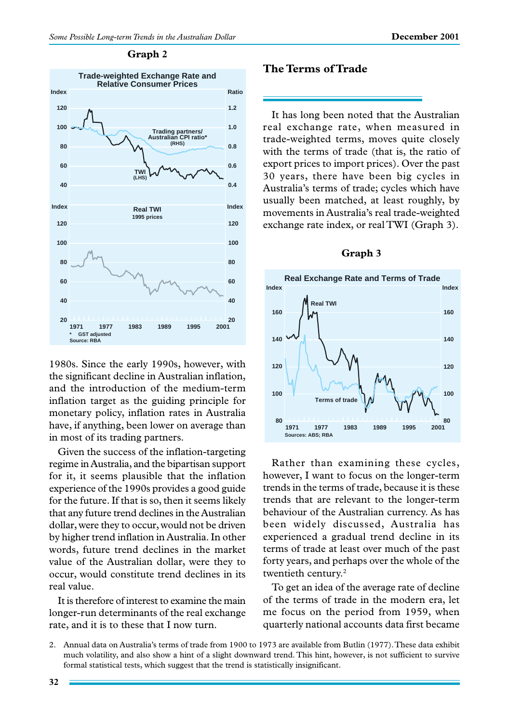

#### **Graph 2**

1980s. Since the early 1990s, however, with the significant decline in Australian inflation, and the introduction of the medium-term inflation target as the guiding principle for monetary policy, inflation rates in Australia have, if anything, been lower on average than in most of its trading partners.

Given the success of the inflation-targeting regime in Australia, and the bipartisan support for it, it seems plausible that the inflation experience of the 1990s provides a good guide for the future. If that is so, then it seems likely that any future trend declines in the Australian dollar, were they to occur, would not be driven by higher trend inflation in Australia. In other words, future trend declines in the market value of the Australian dollar, were they to occur, would constitute trend declines in its real value.

It is therefore of interest to examine the main longer-run determinants of the real exchange rate, and it is to these that I now turn.

# **The Terms of Trade**

It has long been noted that the Australian real exchange rate, when measured in trade-weighted terms, moves quite closely with the terms of trade (that is, the ratio of export prices to import prices). Over the past 30 years, there have been big cycles in Australia's terms of trade; cycles which have usually been matched, at least roughly, by movements in Australia's real trade-weighted exchange rate index, or real TWI (Graph 3).

#### **Graph 3**



Rather than examining these cycles, however, I want to focus on the longer-term trends in the terms of trade, because it is these trends that are relevant to the longer-term behaviour of the Australian currency. As has been widely discussed, Australia has experienced a gradual trend decline in its terms of trade at least over much of the past forty years, and perhaps over the whole of the twentieth century.<sup>2</sup>

To get an idea of the average rate of decline of the terms of trade in the modern era, let me focus on the period from 1959, when quarterly national accounts data first became

<sup>2.</sup> Annual data on Australia's terms of trade from 1900 to 1973 are available from Butlin (1977). These data exhibit much volatility, and also show a hint of a slight downward trend. This hint, however, is not sufficient to survive formal statistical tests, which suggest that the trend is statistically insignificant.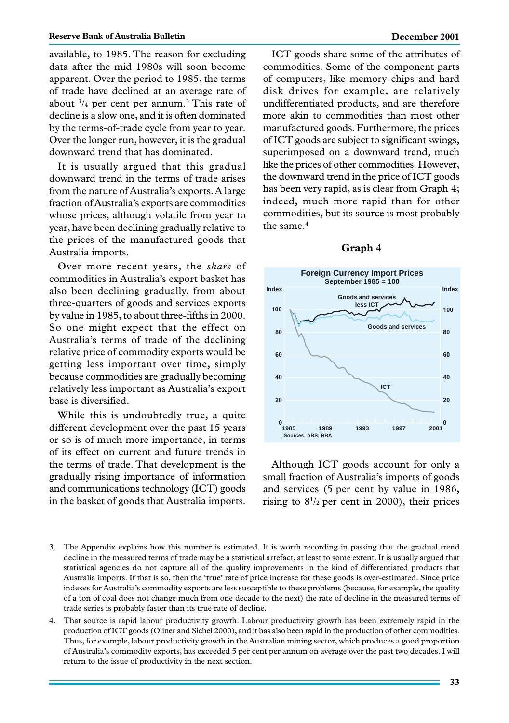available, to 1985. The reason for excluding data after the mid 1980s will soon become apparent. Over the period to 1985, the terms of trade have declined at an average rate of about  $\frac{3}{4}$  per cent per annum.<sup>3</sup> This rate of decline is a slow one, and it is often dominated by the terms-of-trade cycle from year to year. Over the longer run, however, it is the gradual downward trend that has dominated.

It is usually argued that this gradual downward trend in the terms of trade arises from the nature of Australia's exports. A large fraction of Australia's exports are commodities whose prices, although volatile from year to year, have been declining gradually relative to the prices of the manufactured goods that Australia imports.

Over more recent years, the *share* of commodities in Australia's export basket has also been declining gradually, from about three-quarters of goods and services exports by value in 1985, to about three-fifths in 2000. So one might expect that the effect on Australia's terms of trade of the declining relative price of commodity exports would be getting less important over time, simply because commodities are gradually becoming relatively less important as Australia's export base is diversified.

While this is undoubtedly true, a quite different development over the past 15 years or so is of much more importance, in terms of its effect on current and future trends in the terms of trade. That development is the gradually rising importance of information and communications technology (ICT) goods in the basket of goods that Australia imports.

ICT goods share some of the attributes of commodities. Some of the component parts of computers, like memory chips and hard disk drives for example, are relatively undifferentiated products, and are therefore more akin to commodities than most other manufactured goods. Furthermore, the prices of ICT goods are subject to significant swings, superimposed on a downward trend, much like the prices of other commodities. However, the downward trend in the price of ICT goods has been very rapid, as is clear from Graph 4; indeed, much more rapid than for other commodities, but its source is most probably the same.<sup>4</sup>



#### **Graph 4**

Although ICT goods account for only a small fraction of Australia's imports of goods and services (5 per cent by value in 1986, rising to  $8^{1/2}$  per cent in 2000), their prices

- 3. The Appendix explains how this number is estimated. It is worth recording in passing that the gradual trend decline in the measured terms of trade may be a statistical artefact, at least to some extent. It is usually argued that statistical agencies do not capture all of the quality improvements in the kind of differentiated products that Australia imports. If that is so, then the 'true' rate of price increase for these goods is over-estimated. Since price indexes for Australia's commodity exports are less susceptible to these problems (because, for example, the quality of a ton of coal does not change much from one decade to the next) the rate of decline in the measured terms of trade series is probably faster than its true rate of decline.
- 4. That source is rapid labour productivity growth. Labour productivity growth has been extremely rapid in the production of ICT goods (Oliner and Sichel 2000), and it has also been rapid in the production of other commodities. Thus, for example, labour productivity growth in the Australian mining sector, which produces a good proportion of Australia's commodity exports, has exceeded 5 per cent per annum on average over the past two decades. I will return to the issue of productivity in the next section.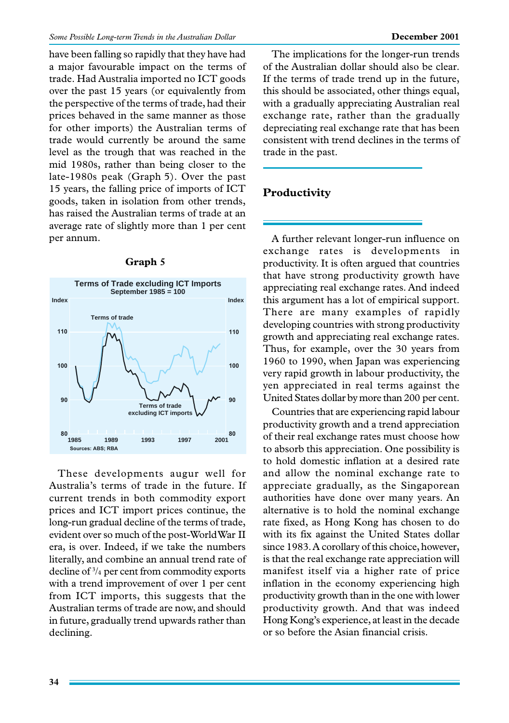have been falling so rapidly that they have had a major favourable impact on the terms of trade. Had Australia imported no ICT goods over the past 15 years (or equivalently from the perspective of the terms of trade, had their prices behaved in the same manner as those for other imports) the Australian terms of trade would currently be around the same level as the trough that was reached in the mid 1980s, rather than being closer to the late-1980s peak (Graph 5). Over the past 15 years, the falling price of imports of ICT goods, taken in isolation from other trends, has raised the Australian terms of trade at an average rate of slightly more than 1 per cent per annum.



### **Graph 5**

These developments augur well for Australia's terms of trade in the future. If current trends in both commodity export prices and ICT import prices continue, the long-run gradual decline of the terms of trade, evident over so much of the post-World War II era, is over. Indeed, if we take the numbers literally, and combine an annual trend rate of decline of 3 /4 per cent from commodity exports with a trend improvement of over 1 per cent from ICT imports, this suggests that the Australian terms of trade are now, and should in future, gradually trend upwards rather than declining.

The implications for the longer-run trends of the Australian dollar should also be clear. If the terms of trade trend up in the future, this should be associated, other things equal, with a gradually appreciating Australian real exchange rate, rather than the gradually depreciating real exchange rate that has been consistent with trend declines in the terms of trade in the past.

# **Productivity**

A further relevant longer-run influence on exchange rates is developments in productivity. It is often argued that countries that have strong productivity growth have appreciating real exchange rates. And indeed this argument has a lot of empirical support. There are many examples of rapidly developing countries with strong productivity growth and appreciating real exchange rates. Thus, for example, over the 30 years from 1960 to 1990, when Japan was experiencing very rapid growth in labour productivity, the yen appreciated in real terms against the United States dollar by more than 200 per cent.

Countries that are experiencing rapid labour productivity growth and a trend appreciation of their real exchange rates must choose how to absorb this appreciation. One possibility is to hold domestic inflation at a desired rate and allow the nominal exchange rate to appreciate gradually, as the Singaporean authorities have done over many years. An alternative is to hold the nominal exchange rate fixed, as Hong Kong has chosen to do with its fix against the United States dollar since 1983. A corollary of this choice, however, is that the real exchange rate appreciation will manifest itself via a higher rate of price inflation in the economy experiencing high productivity growth than in the one with lower productivity growth. And that was indeed Hong Kong's experience, at least in the decade or so before the Asian financial crisis.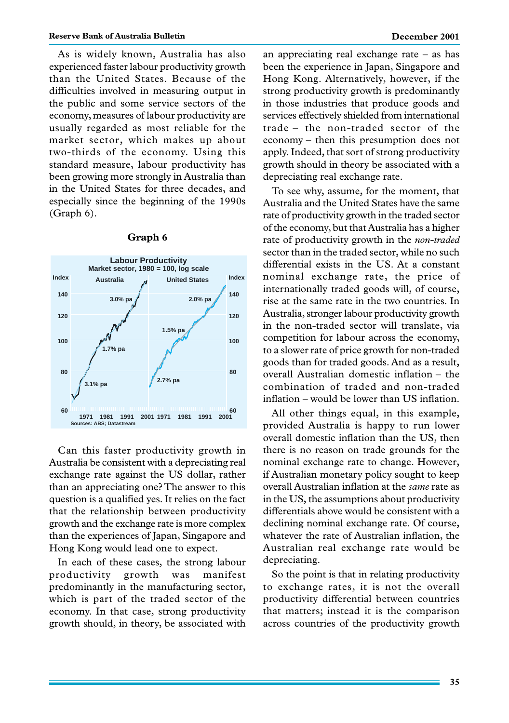As is widely known, Australia has also experienced faster labour productivity growth than the United States. Because of the difficulties involved in measuring output in the public and some service sectors of the economy, measures of labour productivity are usually regarded as most reliable for the market sector, which makes up about two-thirds of the economy. Using this standard measure, labour productivity has been growing more strongly in Australia than in the United States for three decades, and especially since the beginning of the 1990s (Graph 6).



#### **Graph 6**

Can this faster productivity growth in Australia be consistent with a depreciating real exchange rate against the US dollar, rather than an appreciating one? The answer to this question is a qualified yes. It relies on the fact that the relationship between productivity growth and the exchange rate is more complex than the experiences of Japan, Singapore and Hong Kong would lead one to expect.

In each of these cases, the strong labour productivity growth was manifest predominantly in the manufacturing sector, which is part of the traded sector of the economy. In that case, strong productivity growth should, in theory, be associated with an appreciating real exchange rate – as has been the experience in Japan, Singapore and Hong Kong. Alternatively, however, if the strong productivity growth is predominantly in those industries that produce goods and services effectively shielded from international trade – the non-traded sector of the economy – then this presumption does not apply. Indeed, that sort of strong productivity growth should in theory be associated with a depreciating real exchange rate.

To see why, assume, for the moment, that Australia and the United States have the same rate of productivity growth in the traded sector of the economy, but that Australia has a higher rate of productivity growth in the *non-traded* sector than in the traded sector, while no such differential exists in the US. At a constant nominal exchange rate, the price of internationally traded goods will, of course, rise at the same rate in the two countries. In Australia, stronger labour productivity growth in the non-traded sector will translate, via competition for labour across the economy, to a slower rate of price growth for non-traded goods than for traded goods. And as a result, overall Australian domestic inflation – the combination of traded and non-traded inflation – would be lower than US inflation.

All other things equal, in this example, provided Australia is happy to run lower overall domestic inflation than the US, then there is no reason on trade grounds for the nominal exchange rate to change. However, if Australian monetary policy sought to keep overall Australian inflation at the *same* rate as in the US, the assumptions about productivity differentials above would be consistent with a declining nominal exchange rate. Of course, whatever the rate of Australian inflation, the Australian real exchange rate would be depreciating.

So the point is that in relating productivity to exchange rates, it is not the overall productivity differential between countries that matters; instead it is the comparison across countries of the productivity growth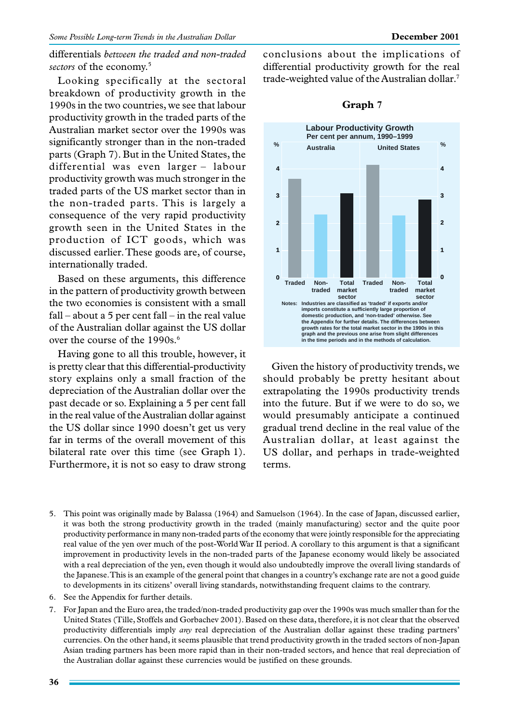differentials *between the traded and non-traded sectors* of the economy.5

Looking specifically at the sectoral breakdown of productivity growth in the 1990s in the two countries, we see that labour productivity growth in the traded parts of the Australian market sector over the 1990s was significantly stronger than in the non-traded parts (Graph 7). But in the United States, the differential was even larger – labour productivity growth was much stronger in the traded parts of the US market sector than in the non-traded parts. This is largely a consequence of the very rapid productivity growth seen in the United States in the production of ICT goods, which was discussed earlier. These goods are, of course, internationally traded.

Based on these arguments, this difference in the pattern of productivity growth between the two economies is consistent with a small fall – about a 5 per cent fall – in the real value of the Australian dollar against the US dollar over the course of the 1990s.<sup>6</sup>

Having gone to all this trouble, however, it is pretty clear that this differential-productivity story explains only a small fraction of the depreciation of the Australian dollar over the past decade or so. Explaining a 5 per cent fall in the real value of the Australian dollar against the US dollar since 1990 doesn't get us very far in terms of the overall movement of this bilateral rate over this time (see Graph 1). Furthermore, it is not so easy to draw strong conclusions about the implications of differential productivity growth for the real trade-weighted value of the Australian dollar.7



#### **Graph 7**

Given the history of productivity trends, we should probably be pretty hesitant about extrapolating the 1990s productivity trends into the future. But if we were to do so, we would presumably anticipate a continued gradual trend decline in the real value of the Australian dollar, at least against the US dollar, and perhaps in trade-weighted terms.

- 5. This point was originally made by Balassa (1964) and Samuelson (1964). In the case of Japan, discussed earlier, it was both the strong productivity growth in the traded (mainly manufacturing) sector and the quite poor productivity performance in many non-traded parts of the economy that were jointly responsible for the appreciating real value of the yen over much of the post-World War II period. A corollary to this argument is that a significant improvement in productivity levels in the non-traded parts of the Japanese economy would likely be associated with a real depreciation of the yen, even though it would also undoubtedly improve the overall living standards of the Japanese. This is an example of the general point that changes in a country's exchange rate are not a good guide to developments in its citizens' overall living standards, notwithstanding frequent claims to the contrary.
- 6. See the Appendix for further details.
- 7. For Japan and the Euro area, the traded/non-traded productivity gap over the 1990s was much smaller than for the United States (Tille, Stoffels and Gorbachev 2001). Based on these data, therefore, it is not clear that the observed productivity differentials imply *any* real depreciation of the Australian dollar against these trading partners' currencies. On the other hand, it seems plausible that trend productivity growth in the traded sectors of non-Japan Asian trading partners has been more rapid than in their non-traded sectors, and hence that real depreciation of the Australian dollar against these currencies would be justified on these grounds.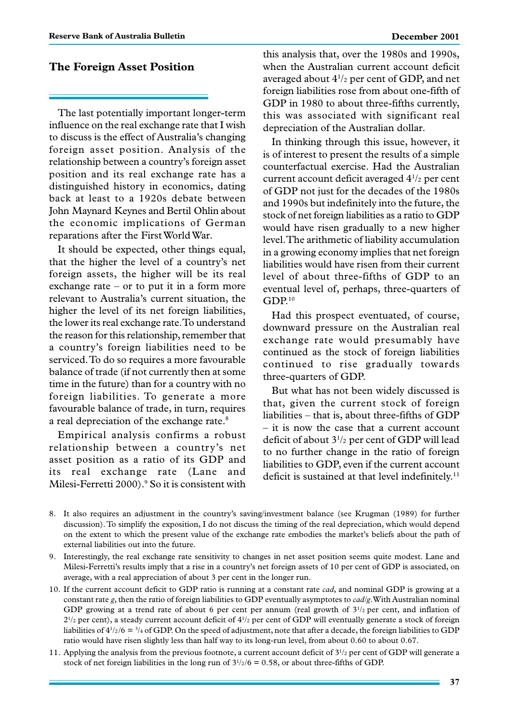## **The Foreign Asset Position**

The last potentially important longer-term influence on the real exchange rate that I wish to discuss is the effect of Australia's changing foreign asset position. Analysis of the relationship between a country's foreign asset position and its real exchange rate has a distinguished history in economics, dating back at least to a 1920s debate between John Maynard Keynes and Bertil Ohlin about the economic implications of German reparations after the First World War.

It should be expected, other things equal, that the higher the level of a country's net foreign assets, the higher will be its real exchange rate – or to put it in a form more relevant to Australia's current situation, the higher the level of its net foreign liabilities, the lower its real exchange rate. To understand the reason for this relationship, remember that a country's foreign liabilities need to be serviced. To do so requires a more favourable balance of trade (if not currently then at some time in the future) than for a country with no foreign liabilities. To generate a more favourable balance of trade, in turn, requires a real depreciation of the exchange rate.<sup>8</sup>

Empirical analysis confirms a robust relationship between a country's net asset position as a ratio of its GDP and its real exchange rate (Lane and Milesi-Ferretti 2000).<sup>9</sup> So it is consistent with this analysis that, over the 1980s and 1990s, when the Australian current account deficit averaged about  $4^{1/2}$  per cent of GDP, and net foreign liabilities rose from about one-fifth of GDP in 1980 to about three-fifths currently, this was associated with significant real depreciation of the Australian dollar.

In thinking through this issue, however, it is of interest to present the results of a simple counterfactual exercise. Had the Australian current account deficit averaged 41 /2 per cent of GDP not just for the decades of the 1980s and 1990s but indefinitely into the future, the stock of net foreign liabilities as a ratio to GDP would have risen gradually to a new higher level. The arithmetic of liability accumulation in a growing economy implies that net foreign liabilities would have risen from their current level of about three-fifths of GDP to an eventual level of, perhaps, three-quarters of GDP.10

Had this prospect eventuated, of course, downward pressure on the Australian real exchange rate would presumably have continued as the stock of foreign liabilities continued to rise gradually towards three-quarters of GDP.

But what has not been widely discussed is that, given the current stock of foreign liabilities – that is, about three-fifths of GDP – it is now the case that a current account deficit of about 31 /2 per cent of GDP will lead to no further change in the ratio of foreign liabilities to GDP, even if the current account deficit is sustained at that level indefinitely.<sup>11</sup>

- 8. It also requires an adjustment in the country's saving/investment balance (see Krugman (1989) for further discussion). To simplify the exposition, I do not discuss the timing of the real depreciation, which would depend on the extent to which the present value of the exchange rate embodies the market's beliefs about the path of external liabilities out into the future.
- 9. Interestingly, the real exchange rate sensitivity to changes in net asset position seems quite modest. Lane and Milesi-Ferretti's results imply that a rise in a country's net foreign assets of 10 per cent of GDP is associated, on average, with a real appreciation of about 3 per cent in the longer run.
- 10. If the current account deficit to GDP ratio is running at a constant rate *cad*, and nominal GDP is growing at a constant rate *g*, then the ratio of foreign liabilities to GDP eventually asymptotes to *cad/g*. With Australian nominal GDP growing at a trend rate of about 6 per cent per annum (real growth of  $3^{1/2}$  per cent, and inflation of  $2^{1/2}$  per cent), a steady current account deficit of  $4^{1/2}$  per cent of GDP will eventually generate a stock of foreign liabilities of  $4^{1/2}/6 = \frac{3}{4}$  of GDP. On the speed of adjustment, note that after a decade, the foreign liabilities to GDP ratio would have risen slightly less than half way to its long-run level, from about 0.60 to about 0.67.
- 11. Applying the analysis from the previous footnote, a current account deficit of  $3^{1/2}$  per cent of GDP will generate a stock of net foreign liabilities in the long run of  $3^{1/2}$ /6 = 0.58, or about three-fifths of GDP.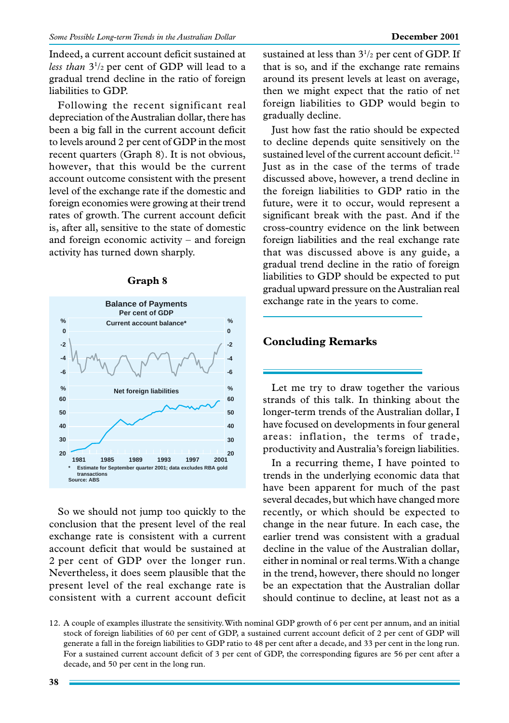Indeed, a current account deficit sustained at less than  $3^{1/2}$  per cent of GDP will lead to a gradual trend decline in the ratio of foreign liabilities to GDP.

Following the recent significant real depreciation of the Australian dollar, there has been a big fall in the current account deficit to levels around 2 per cent of GDP in the most recent quarters (Graph 8). It is not obvious, however, that this would be the current account outcome consistent with the present level of the exchange rate if the domestic and foreign economies were growing at their trend rates of growth. The current account deficit is, after all, sensitive to the state of domestic and foreign economic activity – and foreign activity has turned down sharply.

**Graph 8**



So we should not jump too quickly to the conclusion that the present level of the real exchange rate is consistent with a current account deficit that would be sustained at 2 per cent of GDP over the longer run. Nevertheless, it does seem plausible that the present level of the real exchange rate is consistent with a current account deficit

sustained at less than  $3^{1/2}$  per cent of GDP. If that is so, and if the exchange rate remains around its present levels at least on average, then we might expect that the ratio of net foreign liabilities to GDP would begin to gradually decline.

Just how fast the ratio should be expected to decline depends quite sensitively on the sustained level of the current account deficit.<sup>12</sup> Just as in the case of the terms of trade discussed above, however, a trend decline in the foreign liabilities to GDP ratio in the future, were it to occur, would represent a significant break with the past. And if the cross-country evidence on the link between foreign liabilities and the real exchange rate that was discussed above is any guide, a gradual trend decline in the ratio of foreign liabilities to GDP should be expected to put gradual upward pressure on the Australian real exchange rate in the years to come.

## **Concluding Remarks**

Let me try to draw together the various strands of this talk. In thinking about the longer-term trends of the Australian dollar, I have focused on developments in four general areas: inflation, the terms of trade, productivity and Australia's foreign liabilities.

In a recurring theme, I have pointed to trends in the underlying economic data that have been apparent for much of the past several decades, but which have changed more recently, or which should be expected to change in the near future. In each case, the earlier trend was consistent with a gradual decline in the value of the Australian dollar, either in nominal or real terms. With a change in the trend, however, there should no longer be an expectation that the Australian dollar should continue to decline, at least not as a

<sup>12.</sup> A couple of examples illustrate the sensitivity. With nominal GDP growth of 6 per cent per annum, and an initial stock of foreign liabilities of 60 per cent of GDP, a sustained current account deficit of 2 per cent of GDP will generate a fall in the foreign liabilities to GDP ratio to 48 per cent after a decade, and 33 per cent in the long run. For a sustained current account deficit of 3 per cent of GDP, the corresponding figures are 56 per cent after a decade, and 50 per cent in the long run.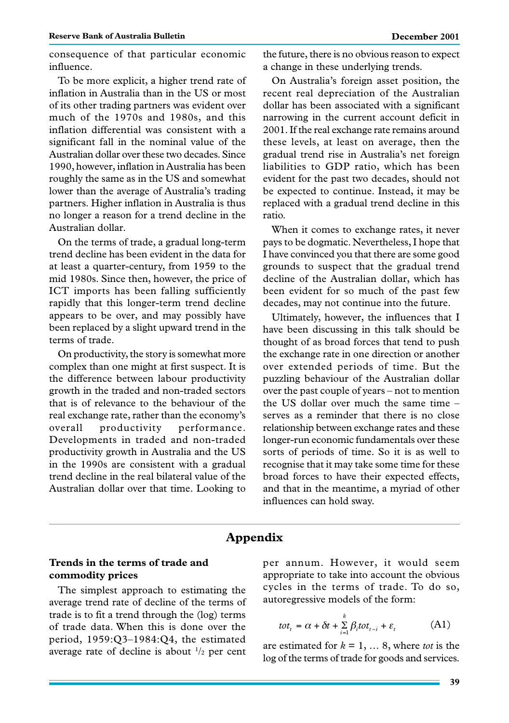consequence of that particular economic influence.

To be more explicit, a higher trend rate of inflation in Australia than in the US or most of its other trading partners was evident over much of the 1970s and 1980s, and this inflation differential was consistent with a significant fall in the nominal value of the Australian dollar over these two decades. Since 1990, however, inflation in Australia has been roughly the same as in the US and somewhat lower than the average of Australia's trading partners. Higher inflation in Australia is thus no longer a reason for a trend decline in the Australian dollar.

On the terms of trade, a gradual long-term trend decline has been evident in the data for at least a quarter-century, from 1959 to the mid 1980s. Since then, however, the price of ICT imports has been falling sufficiently rapidly that this longer-term trend decline appears to be over, and may possibly have been replaced by a slight upward trend in the terms of trade.

On productivity, the story is somewhat more complex than one might at first suspect. It is the difference between labour productivity growth in the traded and non-traded sectors that is of relevance to the behaviour of the real exchange rate, rather than the economy's overall productivity performance. Developments in traded and non-traded productivity growth in Australia and the US in the 1990s are consistent with a gradual trend decline in the real bilateral value of the Australian dollar over that time. Looking to

the future, there is no obvious reason to expect a change in these underlying trends.

On Australia's foreign asset position, the recent real depreciation of the Australian dollar has been associated with a significant narrowing in the current account deficit in 2001. If the real exchange rate remains around these levels, at least on average, then the gradual trend rise in Australia's net foreign liabilities to GDP ratio, which has been evident for the past two decades, should not be expected to continue. Instead, it may be replaced with a gradual trend decline in this ratio.

When it comes to exchange rates, it never pays to be dogmatic. Nevertheless, I hope that I have convinced you that there are some good grounds to suspect that the gradual trend decline of the Australian dollar, which has been evident for so much of the past few decades, may not continue into the future.

Ultimately, however, the influences that I have been discussing in this talk should be thought of as broad forces that tend to push the exchange rate in one direction or another over extended periods of time. But the puzzling behaviour of the Australian dollar over the past couple of years – not to mention the US dollar over much the same time – serves as a reminder that there is no close relationship between exchange rates and these longer-run economic fundamentals over these sorts of periods of time. So it is as well to recognise that it may take some time for these broad forces to have their expected effects, and that in the meantime, a myriad of other influences can hold sway.

## **Appendix**

## **Trends in the terms of trade and commodity prices**

The simplest approach to estimating the average trend rate of decline of the terms of trade is to fit a trend through the (log) terms of trade data. When this is done over the period, 1959:Q3–1984:Q4, the estimated average rate of decline is about  $\frac{1}{2}$  per cent

per annum. However, it would seem appropriate to take into account the obvious cycles in the terms of trade. To do so, autoregressive models of the form:

$$
tot_t = \alpha + \delta t + \sum_{i=1}^{k} \beta_i tot_{t-i} + \varepsilon_t
$$
 (A1)

are estimated for  $k = 1, \ldots 8$ , where *tot* is the log of the terms of trade for goods and services.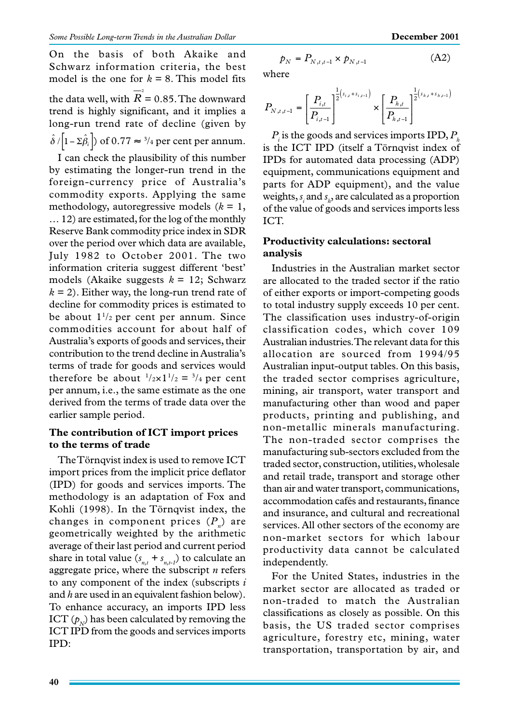On the basis of both Akaike and Schwarz information criteria, the best model is the one for  $k = 8$ . This model fits the data well, with  $\overline{\overline{R}}^2$  = 0.85. The downward trend is highly significant, and it implies a long-run trend rate of decline (given by  $\hat{\delta}/\left|1-\Sigma\hat{\beta}_i\right|$  of 0.77  $\approx$  <sup>3</sup>/<sub>4</sub> per cent per annum.

I can check the plausibility of this number by estimating the longer-run trend in the foreign-currency price of Australia's commodity exports. Applying the same methodology, autoregressive models  $(k = 1)$ , … 12) are estimated, for the log of the monthly Reserve Bank commodity price index in SDR over the period over which data are available, July 1982 to October 2001. The two information criteria suggest different 'best' models (Akaike suggests *k* = 12; Schwarz  $k = 2$ ). Either way, the long-run trend rate of decline for commodity prices is estimated to be about  $1^{1/2}$  per cent per annum. Since commodities account for about half of Australia's exports of goods and services, their contribution to the trend decline in Australia's terms of trade for goods and services would therefore be about  $\frac{1}{2} \times 1 \frac{1}{2} = \frac{3}{4}$  per cent per annum, i.e., the same estimate as the one derived from the terms of trade data over the earlier sample period.

## **The contribution of ICT import prices to the terms of trade**

The Törnqvist index is used to remove ICT import prices from the implicit price deflator (IPD) for goods and services imports. The methodology is an adaptation of Fox and Kohli (1998). In the Törnqvist index, the changes in component prices  $(P_n)$  are geometrically weighted by the arithmetic average of their last period and current period share in total value  $(s_{n,t} + s_{n,t-1})$  to calculate an aggregate price, where the subscript *n* refers to any component of the index (subscripts *i* and *h* are used in an equivalent fashion below). To enhance accuracy, an imports IPD less ICT  $(p_{N})$  has been calculated by removing the ICT IPD from the goods and services imports IPD:

$$
p_N = P_{N,t,t-1} \times p_{N,t-1}
$$
 (A2)

where

$$
P_{N,t,t-1} = \left[\frac{P_{i,t}}{P_{i,t-1}}\right]^{\frac{1}{2}(s_{i,t}+s_{i,t-1})} \times \left[\frac{P_{h,t}}{P_{h,t-1}}\right]^{\frac{1}{2}(s_{h,t}+s_{h,t-1})}
$$

*P* is the goods and services imports IPD, *P<sub>r</sub>* is the ICT IPD (itself a Törnqvist index of IPDs for automated data processing (ADP) equipment, communications equipment and parts for ADP equipment), and the value weights,  $s_i$  and  $s_h$ , are calculated as a proportion of the value of goods and services imports less ICT.

## **Productivity calculations: sectoral analysis**

Industries in the Australian market sector are allocated to the traded sector if the ratio of either exports or import-competing goods to total industry supply exceeds 10 per cent. The classification uses industry-of-origin classification codes, which cover 109 Australian industries. The relevant data for this allocation are sourced from 1994/95 Australian input-output tables. On this basis, the traded sector comprises agriculture, mining, air transport, water transport and manufacturing other than wood and paper products, printing and publishing, and non-metallic minerals manufacturing. The non-traded sector comprises the manufacturing sub-sectors excluded from the traded sector, construction, utilities, wholesale and retail trade, transport and storage other than air and water transport, communications, accommodation cafés and restaurants, finance and insurance, and cultural and recreational services. All other sectors of the economy are non-market sectors for which labour productivity data cannot be calculated independently.

For the United States, industries in the market sector are allocated as traded or non-traded to match the Australian classifications as closely as possible. On this basis, the US traded sector comprises agriculture, forestry etc, mining, water transportation, transportation by air, and